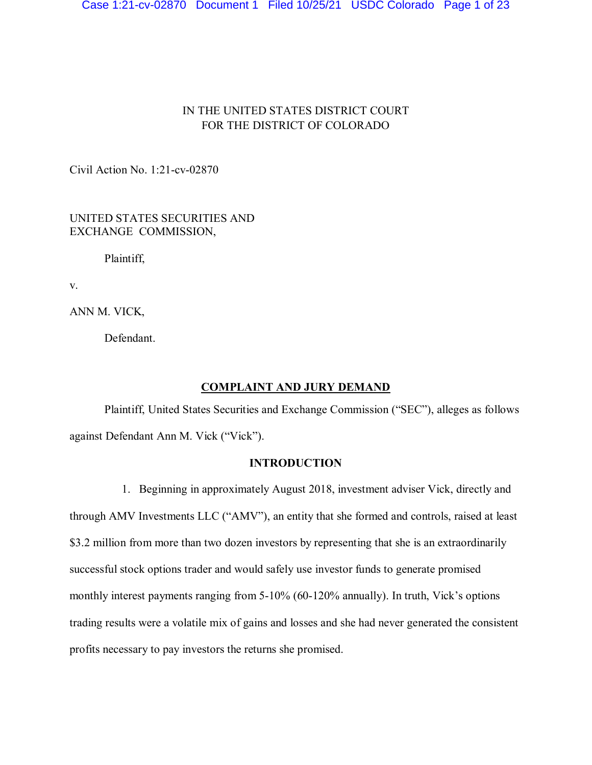# IN THE UNITED STATES DISTRICT COURT FOR THE DISTRICT OF COLORADO

Civil Action No. 1:21-cv-02870

UNITED STATES SECURITIES AND EXCHANGE COMMISSION,

Plaintiff,

v.

ANN M. VICK,

Defendant.

## **COMPLAINT AND JURY DEMAND**

Plaintiff, United States Securities and Exchange Commission ("SEC"), alleges as follows against Defendant Ann M. Vick ("Vick").

# **INTRODUCTION**

1. Beginning in approximately August 2018, investment adviser Vick, directly and through AMV Investments LLC ("AMV"), an entity that she formed and controls, raised at least \$3.2 million from more than two dozen investors by representing that she is an extraordinarily successful stock options trader and would safely use investor funds to generate promised monthly interest payments ranging from 5-10% (60-120% annually). In truth, Vick's options trading results were a volatile mix of gains and losses and she had never generated the consistent profits necessary to pay investors the returns she promised.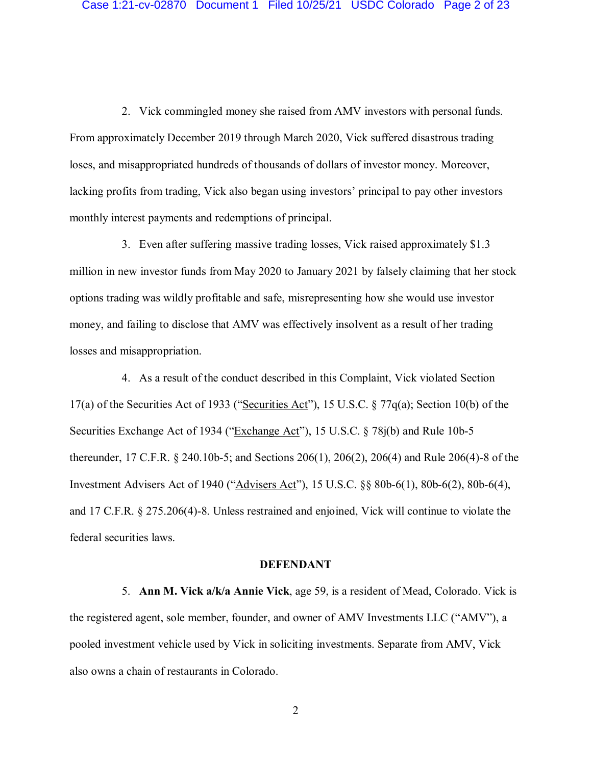2. Vick commingled money she raised from AMV investors with personal funds. From approximately December 2019 through March 2020, Vick suffered disastrous trading loses, and misappropriated hundreds of thousands of dollars of investor money. Moreover, lacking profits from trading, Vick also began using investors' principal to pay other investors monthly interest payments and redemptions of principal.

3. Even after suffering massive trading losses, Vick raised approximately \$1.3 million in new investor funds from May 2020 to January 2021 by falsely claiming that her stock options trading was wildly profitable and safe, misrepresenting how she would use investor money, and failing to disclose that AMV was effectively insolvent as a result of her trading losses and misappropriation.

4. As a result of the conduct described in this Complaint, Vick violated Section 17(a) of the Securities Act of 1933 ("Securities Act"), 15 U.S.C. § 77q(a); Section 10(b) of the Securities Exchange Act of 1934 ("Exchange Act"), 15 U.S.C. § 78j(b) and Rule 10b-5 thereunder, 17 C.F.R. § 240.10b-5; and Sections 206(1), 206(2), 206(4) and Rule 206(4)-8 of the Investment Advisers Act of 1940 ("Advisers Act"), 15 U.S.C. §§ 80b-6(1), 80b-6(2), 80b-6(4), and 17 C.F.R. § 275.206(4)-8. Unless restrained and enjoined, Vick will continue to violate the federal securities laws.

### **DEFENDANT**

5. **Ann M. Vick a/k/a Annie Vick**, age 59, is a resident of Mead, Colorado. Vick is the registered agent, sole member, founder, and owner of AMV Investments LLC ("AMV"), a pooled investment vehicle used by Vick in soliciting investments. Separate from AMV, Vick also owns a chain of restaurants in Colorado.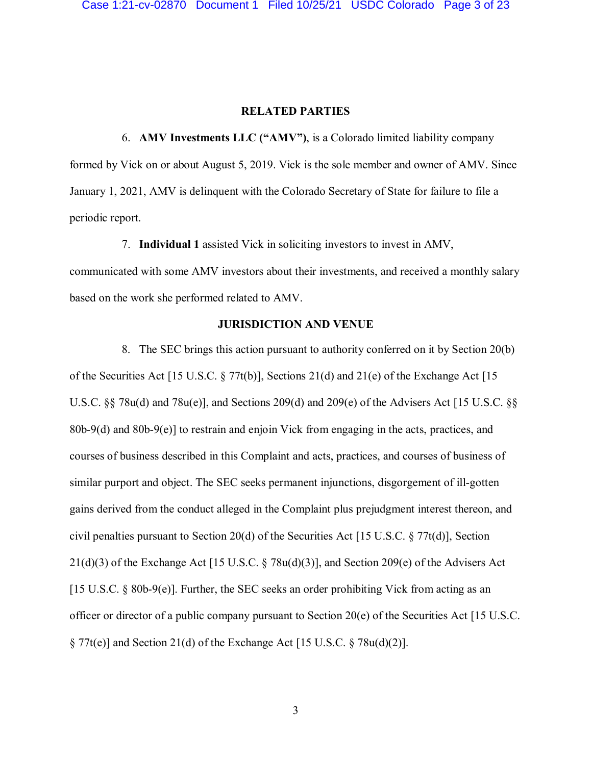### **RELATED PARTIES**

6. **AMV Investments LLC ("AMV")**, is a Colorado limited liability company formed by Vick on or about August 5, 2019. Vick is the sole member and owner of AMV. Since January 1, 2021, AMV is delinquent with the Colorado Secretary of State for failure to file a periodic report.

7. **Individual 1** assisted Vick in soliciting investors to invest in AMV, communicated with some AMV investors about their investments, and received a monthly salary based on the work she performed related to AMV.

### **JURISDICTION AND VENUE**

8. The SEC brings this action pursuant to authority conferred on it by Section 20(b) of the Securities Act [15 U.S.C. § 77t(b)], Sections 21(d) and 21(e) of the Exchange Act [15 U.S.C. §§ 78u(d) and 78u(e)], and Sections 209(d) and 209(e) of the Advisers Act [15 U.S.C. §§ 80b-9(d) and 80b-9(e)] to restrain and enjoin Vick from engaging in the acts, practices, and courses of business described in this Complaint and acts, practices, and courses of business of similar purport and object. The SEC seeks permanent injunctions, disgorgement of ill-gotten gains derived from the conduct alleged in the Complaint plus prejudgment interest thereon, and civil penalties pursuant to Section 20(d) of the Securities Act [15 U.S.C. § 77t(d)], Section 21(d)(3) of the Exchange Act [15 U.S.C. § 78u(d)(3)], and Section 209(e) of the Advisers Act [15 U.S.C. § 80b-9(e)]. Further, the SEC seeks an order prohibiting Vick from acting as an officer or director of a public company pursuant to Section 20(e) of the Securities Act [15 U.S.C.  $\S 77t(e)$  and Section 21(d) of the Exchange Act [15 U.S.C.  $\S 78u(d)(2)$ ].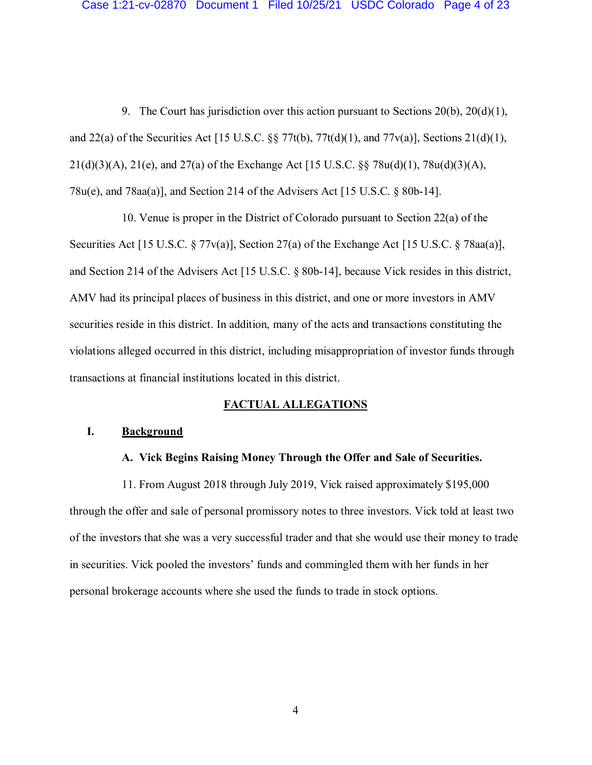9. The Court has jurisdiction over this action pursuant to Sections 20(b), 20(d)(1), and 22(a) of the Securities Act [15 U.S.C.  $\S$  77t(b), 77t(d)(1), and 77v(a)], Sections 21(d)(1), 21(d)(3)(A), 21(e), and 27(a) of the Exchange Act [15 U.S.C. §§ 78u(d)(1), 78u(d)(3)(A), 78u(e), and 78aa(a)], and Section 214 of the Advisers Act [15 U.S.C. § 80b-14].

10. Venue is proper in the District of Colorado pursuant to Section 22(a) of the Securities Act [15 U.S.C. § 77v(a)], Section 27(a) of the Exchange Act [15 U.S.C. § 78aa(a)], and Section 214 of the Advisers Act [15 U.S.C. § 80b-14], because Vick resides in this district, AMV had its principal places of business in this district, and one or more investors in AMV securities reside in this district. In addition, many of the acts and transactions constituting the violations alleged occurred in this district, including misappropriation of investor funds through transactions at financial institutions located in this district.

### **FACTUAL ALLEGATIONS**

## **I. Background**

## **A. Vick Begins Raising Money Through the Offer and Sale of Securities.**

11. From August 2018 through July 2019, Vick raised approximately \$195,000 through the offer and sale of personal promissory notes to three investors. Vick told at least two of the investors that she was a very successful trader and that she would use their money to trade in securities. Vick pooled the investors' funds and commingled them with her funds in her personal brokerage accounts where she used the funds to trade in stock options.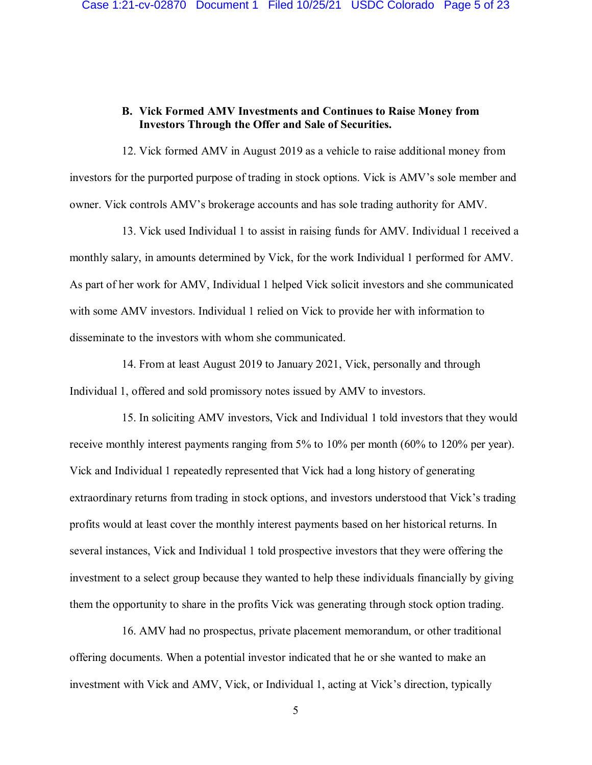# **B. Vick Formed AMV Investments and Continues to Raise Money from Investors Through the Offer and Sale of Securities.**

12. Vick formed AMV in August 2019 as a vehicle to raise additional money from investors for the purported purpose of trading in stock options. Vick is AMV's sole member and owner. Vick controls AMV's brokerage accounts and has sole trading authority for AMV.

13. Vick used Individual 1 to assist in raising funds for AMV. Individual 1 received a monthly salary, in amounts determined by Vick, for the work Individual 1 performed for AMV. As part of her work for AMV, Individual 1 helped Vick solicit investors and she communicated with some AMV investors. Individual 1 relied on Vick to provide her with information to disseminate to the investors with whom she communicated.

14. From at least August 2019 to January 2021, Vick, personally and through Individual 1, offered and sold promissory notes issued by AMV to investors.

15. In soliciting AMV investors, Vick and Individual 1 told investors that they would receive monthly interest payments ranging from 5% to 10% per month (60% to 120% per year). Vick and Individual 1 repeatedly represented that Vick had a long history of generating extraordinary returns from trading in stock options, and investors understood that Vick's trading profits would at least cover the monthly interest payments based on her historical returns. In several instances, Vick and Individual 1 told prospective investors that they were offering the investment to a select group because they wanted to help these individuals financially by giving them the opportunity to share in the profits Vick was generating through stock option trading.

16. AMV had no prospectus, private placement memorandum, or other traditional offering documents. When a potential investor indicated that he or she wanted to make an investment with Vick and AMV, Vick, or Individual 1, acting at Vick's direction, typically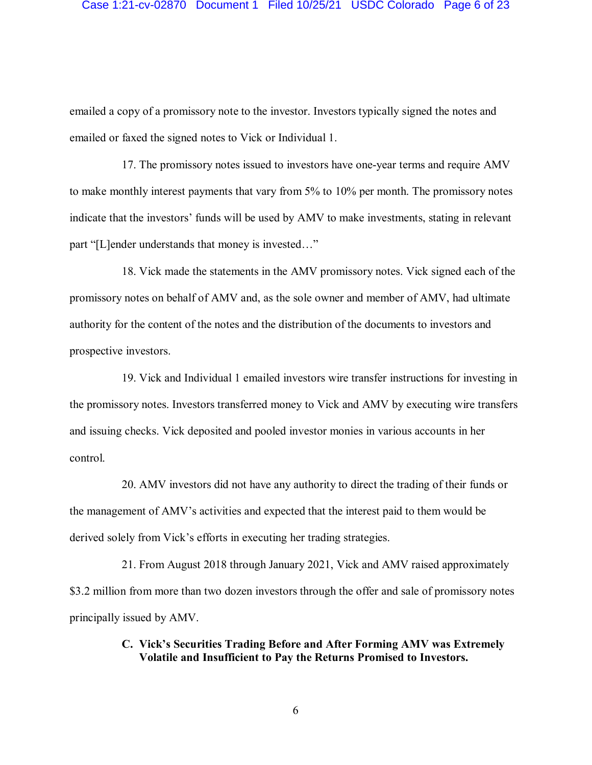#### Case 1:21-cv-02870 Document 1 Filed 10/25/21 USDC Colorado Page 6 of 23

emailed a copy of a promissory note to the investor. Investors typically signed the notes and emailed or faxed the signed notes to Vick or Individual 1.

17. The promissory notes issued to investors have one-year terms and require AMV to make monthly interest payments that vary from 5% to 10% per month. The promissory notes indicate that the investors' funds will be used by AMV to make investments, stating in relevant part "[L]ender understands that money is invested…"

18. Vick made the statements in the AMV promissory notes. Vick signed each of the promissory notes on behalf of AMV and, as the sole owner and member of AMV, had ultimate authority for the content of the notes and the distribution of the documents to investors and prospective investors.

19. Vick and Individual 1 emailed investors wire transfer instructions for investing in the promissory notes. Investors transferred money to Vick and AMV by executing wire transfers and issuing checks. Vick deposited and pooled investor monies in various accounts in her control.

20. AMV investors did not have any authority to direct the trading of their funds or the management of AMV's activities and expected that the interest paid to them would be derived solely from Vick's efforts in executing her trading strategies.

21. From August 2018 through January 2021, Vick and AMV raised approximately \$3.2 million from more than two dozen investors through the offer and sale of promissory notes principally issued by AMV.

## **C. Vick's Securities Trading Before and After Forming AMV was Extremely Volatile and Insufficient to Pay the Returns Promised to Investors.**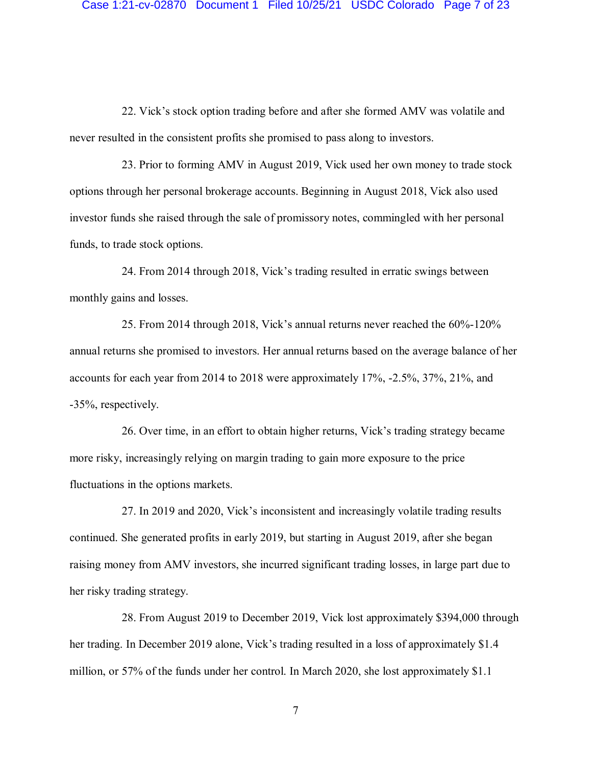#### Case 1:21-cv-02870 Document 1 Filed 10/25/21 USDC Colorado Page 7 of 23

22. Vick's stock option trading before and after she formed AMV was volatile and never resulted in the consistent profits she promised to pass along to investors.

23. Prior to forming AMV in August 2019, Vick used her own money to trade stock options through her personal brokerage accounts. Beginning in August 2018, Vick also used investor funds she raised through the sale of promissory notes, commingled with her personal funds, to trade stock options.

24. From 2014 through 2018, Vick's trading resulted in erratic swings between monthly gains and losses.

25. From 2014 through 2018, Vick's annual returns never reached the 60%-120% annual returns she promised to investors. Her annual returns based on the average balance of her accounts for each year from 2014 to 2018 were approximately 17%, -2.5%, 37%, 21%, and -35%, respectively.

26. Over time, in an effort to obtain higher returns, Vick's trading strategy became more risky, increasingly relying on margin trading to gain more exposure to the price fluctuations in the options markets.

27. In 2019 and 2020, Vick's inconsistent and increasingly volatile trading results continued. She generated profits in early 2019, but starting in August 2019, after she began raising money from AMV investors, she incurred significant trading losses, in large part due to her risky trading strategy.

28. From August 2019 to December 2019, Vick lost approximately \$394,000 through her trading. In December 2019 alone, Vick's trading resulted in a loss of approximately \$1.4 million, or 57% of the funds under her control. In March 2020, she lost approximately \$1.1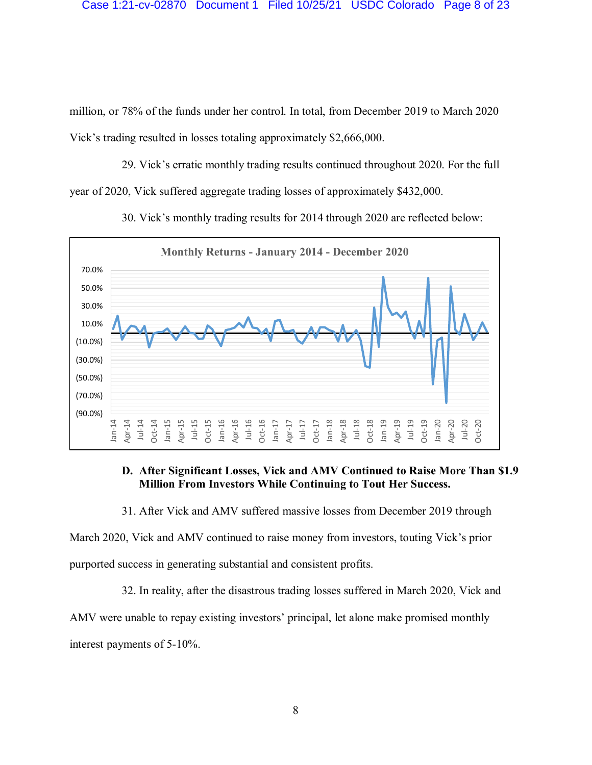million, or 78% of the funds under her control. In total, from December 2019 to March 2020 Vick's trading resulted in losses totaling approximately \$2,666,000.

29. Vick's erratic monthly trading results continued throughout 2020. For the full year of 2020, Vick suffered aggregate trading losses of approximately \$432,000.



30. Vick's monthly trading results for 2014 through 2020 are reflected below:

## **D. After Significant Losses, Vick and AMV Continued to Raise More Than \$1.9 Million From Investors While Continuing to Tout Her Success.**

31. After Vick and AMV suffered massive losses from December 2019 through

March 2020, Vick and AMV continued to raise money from investors, touting Vick's prior purported success in generating substantial and consistent profits.

32. In reality, after the disastrous trading losses suffered in March 2020, Vick and

AMV were unable to repay existing investors' principal, let alone make promised monthly interest payments of 5-10%.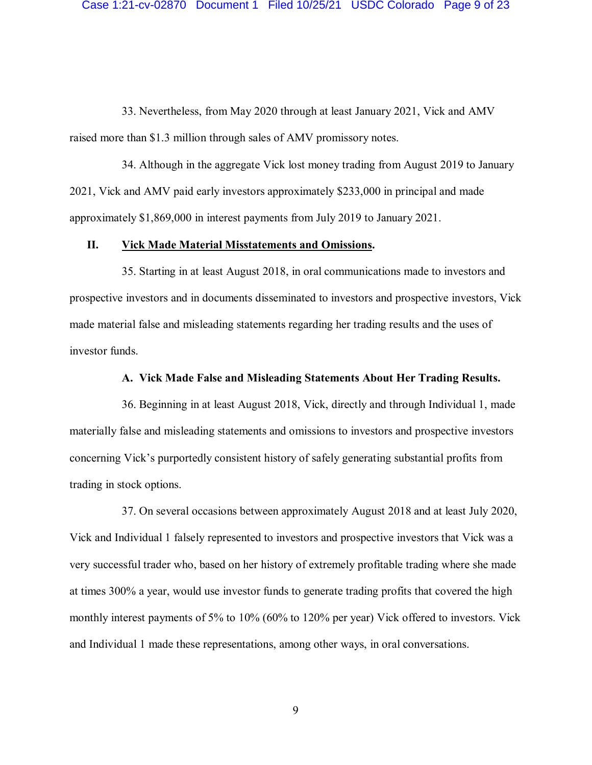33. Nevertheless, from May 2020 through at least January 2021, Vick and AMV raised more than \$1.3 million through sales of AMV promissory notes.

34. Although in the aggregate Vick lost money trading from August 2019 to January 2021, Vick and AMV paid early investors approximately \$233,000 in principal and made approximately \$1,869,000 in interest payments from July 2019 to January 2021.

# **II. Vick Made Material Misstatements and Omissions.**

35. Starting in at least August 2018, in oral communications made to investors and prospective investors and in documents disseminated to investors and prospective investors, Vick made material false and misleading statements regarding her trading results and the uses of investor funds.

### **A. Vick Made False and Misleading Statements About Her Trading Results.**

36. Beginning in at least August 2018, Vick, directly and through Individual 1, made materially false and misleading statements and omissions to investors and prospective investors concerning Vick's purportedly consistent history of safely generating substantial profits from trading in stock options.

37. On several occasions between approximately August 2018 and at least July 2020, Vick and Individual 1 falsely represented to investors and prospective investors that Vick was a very successful trader who, based on her history of extremely profitable trading where she made at times 300% a year, would use investor funds to generate trading profits that covered the high monthly interest payments of 5% to 10% (60% to 120% per year) Vick offered to investors. Vick and Individual 1 made these representations, among other ways, in oral conversations.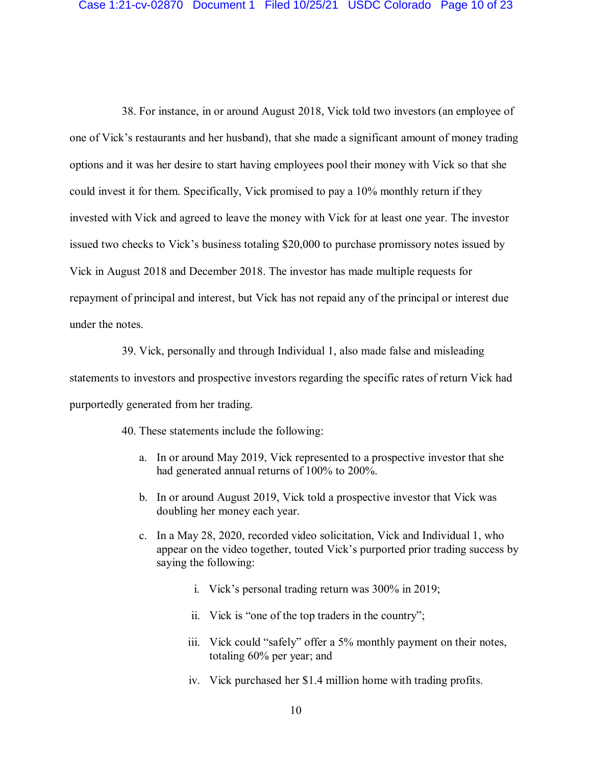38. For instance, in or around August 2018, Vick told two investors (an employee of one of Vick's restaurants and her husband), that she made a significant amount of money trading options and it was her desire to start having employees pool their money with Vick so that she could invest it for them. Specifically, Vick promised to pay a 10% monthly return if they invested with Vick and agreed to leave the money with Vick for at least one year. The investor issued two checks to Vick's business totaling \$20,000 to purchase promissory notes issued by Vick in August 2018 and December 2018. The investor has made multiple requests for repayment of principal and interest, but Vick has not repaid any of the principal or interest due under the notes.

39. Vick, personally and through Individual 1, also made false and misleading statements to investors and prospective investors regarding the specific rates of return Vick had purportedly generated from her trading.

40. These statements include the following:

- a. In or around May 2019, Vick represented to a prospective investor that she had generated annual returns of 100% to 200%.
- b. In or around August 2019, Vick told a prospective investor that Vick was doubling her money each year.
- c. In a May 28, 2020, recorded video solicitation, Vick and Individual 1, who appear on the video together, touted Vick's purported prior trading success by saying the following:
	- i. Vick's personal trading return was 300% in 2019;
	- ii. Vick is "one of the top traders in the country";
	- iii. Vick could "safely" offer a 5% monthly payment on their notes, totaling 60% per year; and
	- iv. Vick purchased her \$1.4 million home with trading profits.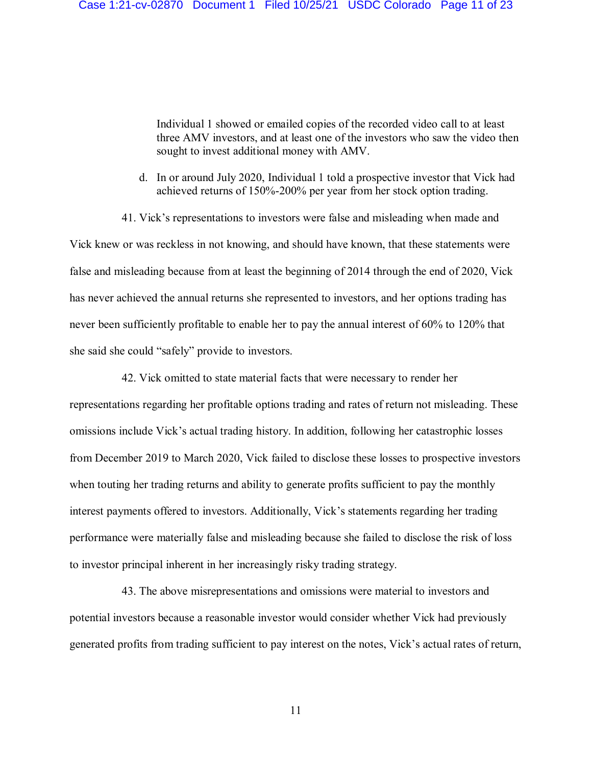Individual 1 showed or emailed copies of the recorded video call to at least three AMV investors, and at least one of the investors who saw the video then sought to invest additional money with AMV.

- d. In or around July 2020, Individual 1 told a prospective investor that Vick had achieved returns of 150%-200% per year from her stock option trading.
- 41. Vick's representations to investors were false and misleading when made and

Vick knew or was reckless in not knowing, and should have known, that these statements were false and misleading because from at least the beginning of 2014 through the end of 2020, Vick has never achieved the annual returns she represented to investors, and her options trading has never been sufficiently profitable to enable her to pay the annual interest of 60% to 120% that she said she could "safely" provide to investors.

42. Vick omitted to state material facts that were necessary to render her representations regarding her profitable options trading and rates of return not misleading. These omissions include Vick's actual trading history. In addition, following her catastrophic losses from December 2019 to March 2020, Vick failed to disclose these losses to prospective investors when touting her trading returns and ability to generate profits sufficient to pay the monthly interest payments offered to investors. Additionally, Vick's statements regarding her trading performance were materially false and misleading because she failed to disclose the risk of loss to investor principal inherent in her increasingly risky trading strategy.

43. The above misrepresentations and omissions were material to investors and potential investors because a reasonable investor would consider whether Vick had previously generated profits from trading sufficient to pay interest on the notes, Vick's actual rates of return,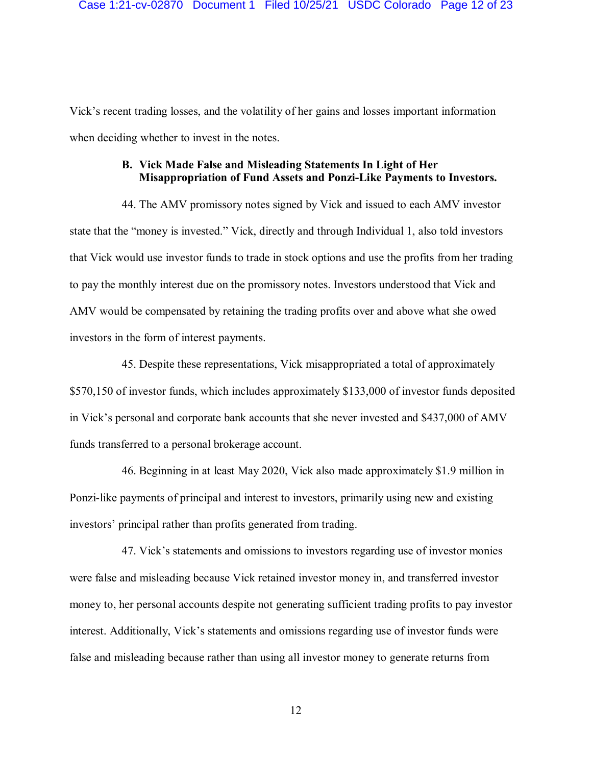Vick's recent trading losses, and the volatility of her gains and losses important information when deciding whether to invest in the notes.

# **B. Vick Made False and Misleading Statements In Light of Her Misappropriation of Fund Assets and Ponzi-Like Payments to Investors.**

44. The AMV promissory notes signed by Vick and issued to each AMV investor state that the "money is invested." Vick, directly and through Individual 1, also told investors that Vick would use investor funds to trade in stock options and use the profits from her trading to pay the monthly interest due on the promissory notes. Investors understood that Vick and AMV would be compensated by retaining the trading profits over and above what she owed investors in the form of interest payments.

45. Despite these representations, Vick misappropriated a total of approximately \$570,150 of investor funds, which includes approximately \$133,000 of investor funds deposited in Vick's personal and corporate bank accounts that she never invested and \$437,000 of AMV funds transferred to a personal brokerage account.

46. Beginning in at least May 2020, Vick also made approximately \$1.9 million in Ponzi-like payments of principal and interest to investors, primarily using new and existing investors' principal rather than profits generated from trading.

47. Vick's statements and omissions to investors regarding use of investor monies were false and misleading because Vick retained investor money in, and transferred investor money to, her personal accounts despite not generating sufficient trading profits to pay investor interest. Additionally, Vick's statements and omissions regarding use of investor funds were false and misleading because rather than using all investor money to generate returns from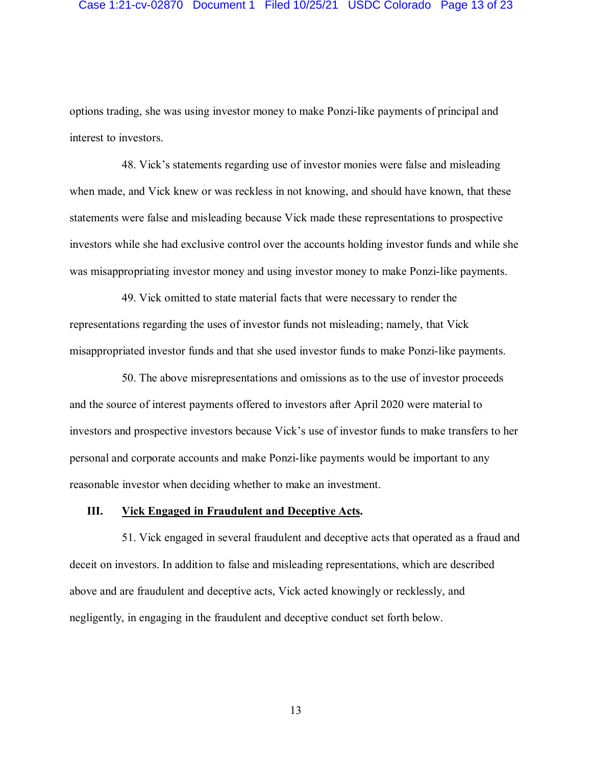### Case 1:21-cv-02870 Document 1 Filed 10/25/21 USDC Colorado Page 13 of 23

options trading, she was using investor money to make Ponzi-like payments of principal and interest to investors.

48. Vick's statements regarding use of investor monies were false and misleading when made, and Vick knew or was reckless in not knowing, and should have known, that these statements were false and misleading because Vick made these representations to prospective investors while she had exclusive control over the accounts holding investor funds and while she was misappropriating investor money and using investor money to make Ponzi-like payments.

49. Vick omitted to state material facts that were necessary to render the representations regarding the uses of investor funds not misleading; namely, that Vick misappropriated investor funds and that she used investor funds to make Ponzi-like payments.

50. The above misrepresentations and omissions as to the use of investor proceeds and the source of interest payments offered to investors after April 2020 were material to investors and prospective investors because Vick's use of investor funds to make transfers to her personal and corporate accounts and make Ponzi-like payments would be important to any reasonable investor when deciding whether to make an investment.

#### **III. Vick Engaged in Fraudulent and Deceptive Acts.**

51. Vick engaged in several fraudulent and deceptive acts that operated as a fraud and deceit on investors. In addition to false and misleading representations, which are described above and are fraudulent and deceptive acts, Vick acted knowingly or recklessly, and negligently, in engaging in the fraudulent and deceptive conduct set forth below.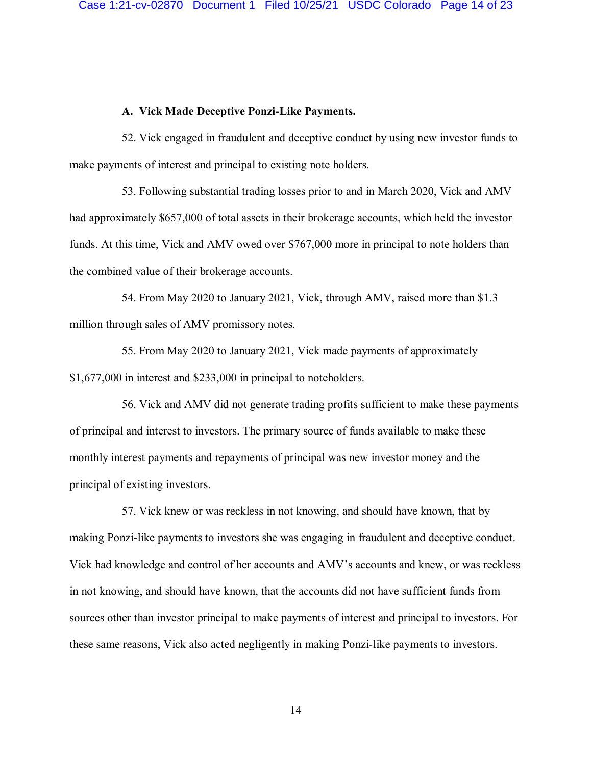### **A. Vick Made Deceptive Ponzi-Like Payments.**

52. Vick engaged in fraudulent and deceptive conduct by using new investor funds to make payments of interest and principal to existing note holders.

53. Following substantial trading losses prior to and in March 2020, Vick and AMV had approximately \$657,000 of total assets in their brokerage accounts, which held the investor funds. At this time, Vick and AMV owed over \$767,000 more in principal to note holders than the combined value of their brokerage accounts.

54. From May 2020 to January 2021, Vick, through AMV, raised more than \$1.3 million through sales of AMV promissory notes.

55. From May 2020 to January 2021, Vick made payments of approximately \$1,677,000 in interest and \$233,000 in principal to noteholders.

56. Vick and AMV did not generate trading profits sufficient to make these payments of principal and interest to investors. The primary source of funds available to make these monthly interest payments and repayments of principal was new investor money and the principal of existing investors.

57. Vick knew or was reckless in not knowing, and should have known, that by making Ponzi-like payments to investors she was engaging in fraudulent and deceptive conduct. Vick had knowledge and control of her accounts and AMV's accounts and knew, or was reckless in not knowing, and should have known, that the accounts did not have sufficient funds from sources other than investor principal to make payments of interest and principal to investors. For these same reasons, Vick also acted negligently in making Ponzi-like payments to investors.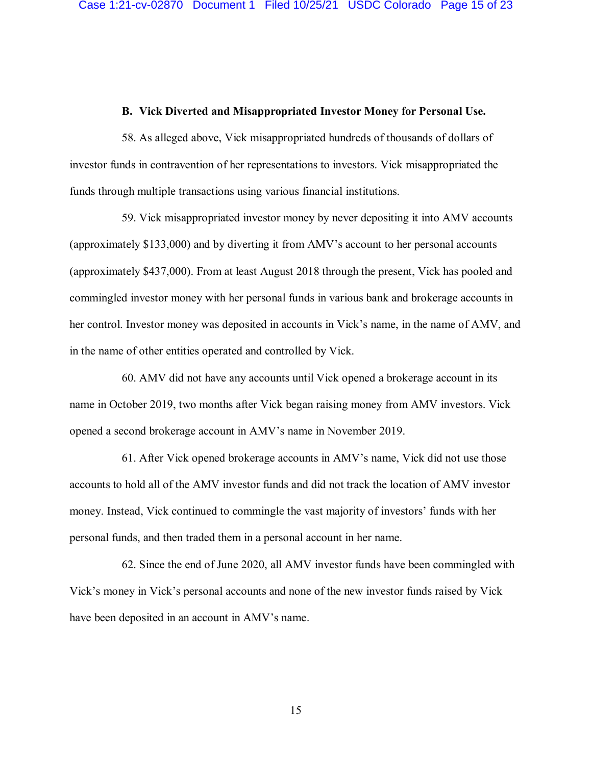### **B. Vick Diverted and Misappropriated Investor Money for Personal Use.**

58. As alleged above, Vick misappropriated hundreds of thousands of dollars of investor funds in contravention of her representations to investors. Vick misappropriated the funds through multiple transactions using various financial institutions.

59. Vick misappropriated investor money by never depositing it into AMV accounts (approximately \$133,000) and by diverting it from AMV's account to her personal accounts (approximately \$437,000). From at least August 2018 through the present, Vick has pooled and commingled investor money with her personal funds in various bank and brokerage accounts in her control. Investor money was deposited in accounts in Vick's name, in the name of AMV, and in the name of other entities operated and controlled by Vick.

60. AMV did not have any accounts until Vick opened a brokerage account in its name in October 2019, two months after Vick began raising money from AMV investors. Vick opened a second brokerage account in AMV's name in November 2019.

61. After Vick opened brokerage accounts in AMV's name, Vick did not use those accounts to hold all of the AMV investor funds and did not track the location of AMV investor money. Instead, Vick continued to commingle the vast majority of investors' funds with her personal funds, and then traded them in a personal account in her name.

62. Since the end of June 2020, all AMV investor funds have been commingled with Vick's money in Vick's personal accounts and none of the new investor funds raised by Vick have been deposited in an account in AMV's name.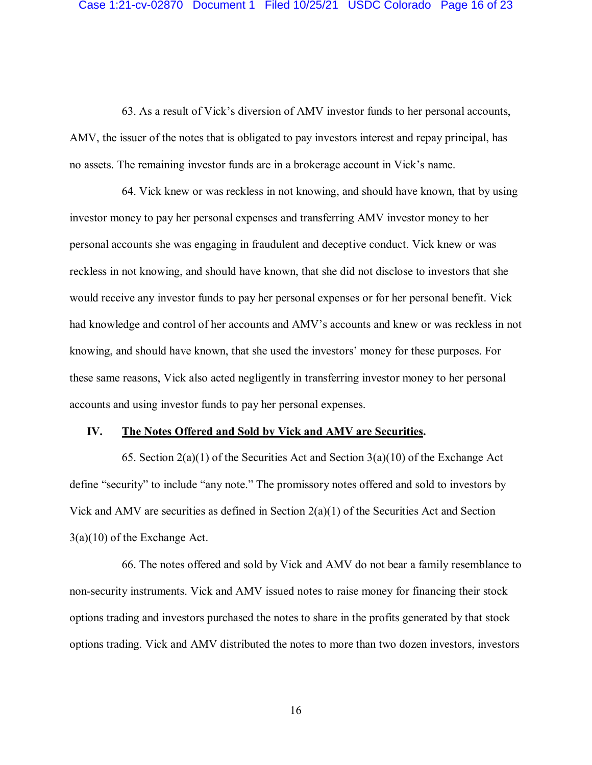63. As a result of Vick's diversion of AMV investor funds to her personal accounts, AMV, the issuer of the notes that is obligated to pay investors interest and repay principal, has no assets. The remaining investor funds are in a brokerage account in Vick's name.

64. Vick knew or was reckless in not knowing, and should have known, that by using investor money to pay her personal expenses and transferring AMV investor money to her personal accounts she was engaging in fraudulent and deceptive conduct. Vick knew or was reckless in not knowing, and should have known, that she did not disclose to investors that she would receive any investor funds to pay her personal expenses or for her personal benefit. Vick had knowledge and control of her accounts and AMV's accounts and knew or was reckless in not knowing, and should have known, that she used the investors' money for these purposes. For these same reasons, Vick also acted negligently in transferring investor money to her personal accounts and using investor funds to pay her personal expenses.

#### **IV. The Notes Offered and Sold by Vick and AMV are Securities.**

65. Section  $2(a)(1)$  of the Securities Act and Section  $3(a)(10)$  of the Exchange Act define "security" to include "any note." The promissory notes offered and sold to investors by Vick and AMV are securities as defined in Section  $2(a)(1)$  of the Securities Act and Section 3(a)(10) of the Exchange Act.

66. The notes offered and sold by Vick and AMV do not bear a family resemblance to non-security instruments. Vick and AMV issued notes to raise money for financing their stock options trading and investors purchased the notes to share in the profits generated by that stock options trading. Vick and AMV distributed the notes to more than two dozen investors, investors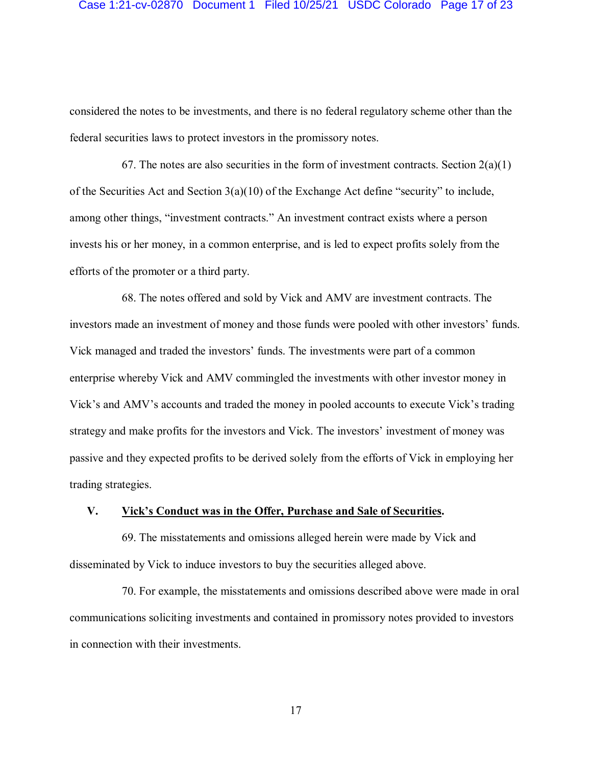### Case 1:21-cv-02870 Document 1 Filed 10/25/21 USDC Colorado Page 17 of 23

considered the notes to be investments, and there is no federal regulatory scheme other than the federal securities laws to protect investors in the promissory notes.

67. The notes are also securities in the form of investment contracts. Section  $2(a)(1)$ of the Securities Act and Section 3(a)(10) of the Exchange Act define "security" to include, among other things, "investment contracts." An investment contract exists where a person invests his or her money, in a common enterprise, and is led to expect profits solely from the efforts of the promoter or a third party.

68. The notes offered and sold by Vick and AMV are investment contracts. The investors made an investment of money and those funds were pooled with other investors' funds. Vick managed and traded the investors' funds. The investments were part of a common enterprise whereby Vick and AMV commingled the investments with other investor money in Vick's and AMV's accounts and traded the money in pooled accounts to execute Vick's trading strategy and make profits for the investors and Vick. The investors' investment of money was passive and they expected profits to be derived solely from the efforts of Vick in employing her trading strategies.

## **V. Vick's Conduct was in the Offer, Purchase and Sale of Securities.**

69. The misstatements and omissions alleged herein were made by Vick and disseminated by Vick to induce investors to buy the securities alleged above.

70. For example, the misstatements and omissions described above were made in oral communications soliciting investments and contained in promissory notes provided to investors in connection with their investments.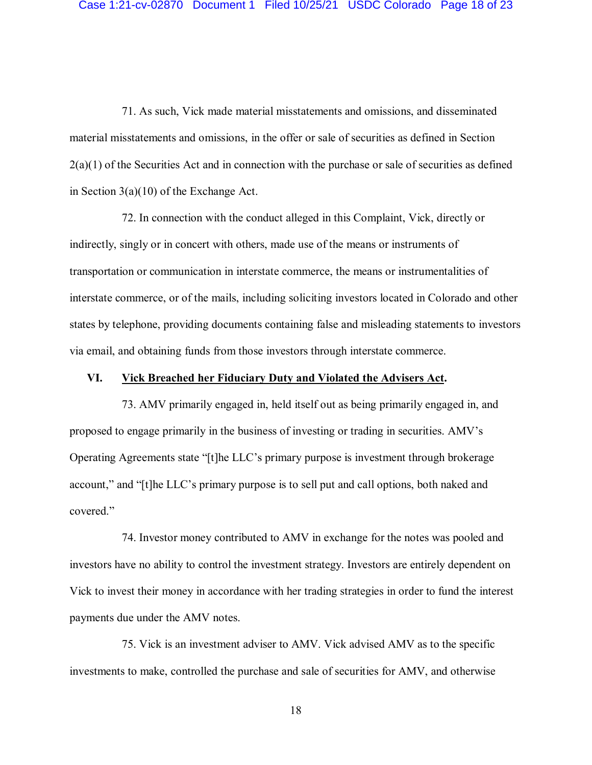71. As such, Vick made material misstatements and omissions, and disseminated material misstatements and omissions, in the offer or sale of securities as defined in Section  $2(a)(1)$  of the Securities Act and in connection with the purchase or sale of securities as defined in Section 3(a)(10) of the Exchange Act.

72. In connection with the conduct alleged in this Complaint, Vick, directly or indirectly, singly or in concert with others, made use of the means or instruments of transportation or communication in interstate commerce, the means or instrumentalities of interstate commerce, or of the mails, including soliciting investors located in Colorado and other states by telephone, providing documents containing false and misleading statements to investors via email, and obtaining funds from those investors through interstate commerce.

### **VI. Vick Breached her Fiduciary Duty and Violated the Advisers Act.**

73. AMV primarily engaged in, held itself out as being primarily engaged in, and proposed to engage primarily in the business of investing or trading in securities. AMV's Operating Agreements state "[t]he LLC's primary purpose is investment through brokerage account," and "[t]he LLC's primary purpose is to sell put and call options, both naked and covered."

74. Investor money contributed to AMV in exchange for the notes was pooled and investors have no ability to control the investment strategy. Investors are entirely dependent on Vick to invest their money in accordance with her trading strategies in order to fund the interest payments due under the AMV notes.

75. Vick is an investment adviser to AMV. Vick advised AMV as to the specific investments to make, controlled the purchase and sale of securities for AMV, and otherwise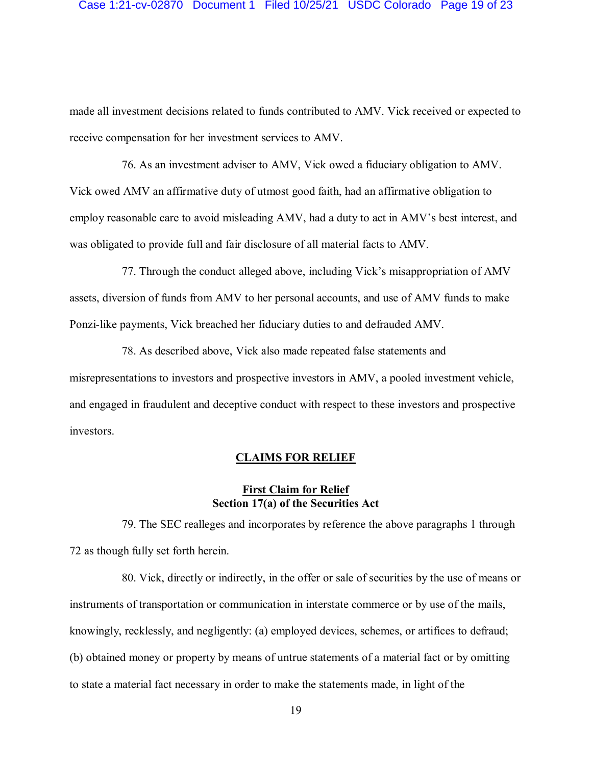#### Case 1:21-cv-02870 Document 1 Filed 10/25/21 USDC Colorado Page 19 of 23

made all investment decisions related to funds contributed to AMV. Vick received or expected to receive compensation for her investment services to AMV.

76. As an investment adviser to AMV, Vick owed a fiduciary obligation to AMV. Vick owed AMV an affirmative duty of utmost good faith, had an affirmative obligation to employ reasonable care to avoid misleading AMV, had a duty to act in AMV's best interest, and was obligated to provide full and fair disclosure of all material facts to AMV.

77. Through the conduct alleged above, including Vick's misappropriation of AMV assets, diversion of funds from AMV to her personal accounts, and use of AMV funds to make Ponzi-like payments, Vick breached her fiduciary duties to and defrauded AMV.

78. As described above, Vick also made repeated false statements and misrepresentations to investors and prospective investors in AMV, a pooled investment vehicle, and engaged in fraudulent and deceptive conduct with respect to these investors and prospective investors.

### **CLAIMS FOR RELIEF**

# **First Claim for Relief Section 17(a) of the Securities Act**

79. The SEC realleges and incorporates by reference the above paragraphs 1 through 72 as though fully set forth herein.

80. Vick, directly or indirectly, in the offer or sale of securities by the use of means or instruments of transportation or communication in interstate commerce or by use of the mails, knowingly, recklessly, and negligently: (a) employed devices, schemes, or artifices to defraud; (b) obtained money or property by means of untrue statements of a material fact or by omitting to state a material fact necessary in order to make the statements made, in light of the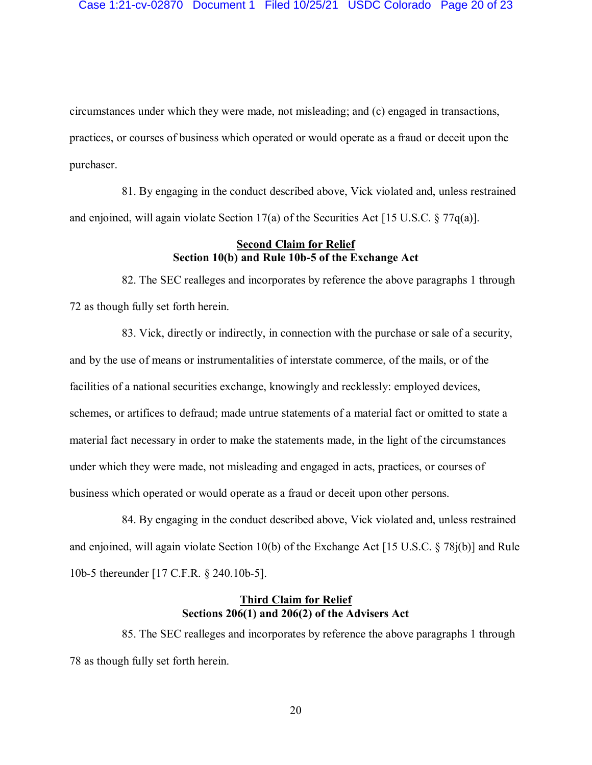circumstances under which they were made, not misleading; and (c) engaged in transactions, practices, or courses of business which operated or would operate as a fraud or deceit upon the purchaser.

81. By engaging in the conduct described above, Vick violated and, unless restrained and enjoined, will again violate Section 17(a) of the Securities Act [15 U.S.C. § 77q(a)].

## **Second Claim for Relief Section 10(b) and Rule 10b-5 of the Exchange Act**

82. The SEC realleges and incorporates by reference the above paragraphs 1 through 72 as though fully set forth herein.

83. Vick, directly or indirectly, in connection with the purchase or sale of a security, and by the use of means or instrumentalities of interstate commerce, of the mails, or of the facilities of a national securities exchange, knowingly and recklessly: employed devices, schemes, or artifices to defraud; made untrue statements of a material fact or omitted to state a material fact necessary in order to make the statements made, in the light of the circumstances under which they were made, not misleading and engaged in acts, practices, or courses of business which operated or would operate as a fraud or deceit upon other persons.

84. By engaging in the conduct described above, Vick violated and, unless restrained and enjoined, will again violate Section 10(b) of the Exchange Act [15 U.S.C. § 78j(b)] and Rule 10b-5 thereunder [17 C.F.R. § 240.10b-5].

# **Third Claim for Relief Sections 206(1) and 206(2) of the Advisers Act**

85. The SEC realleges and incorporates by reference the above paragraphs 1 through 78 as though fully set forth herein.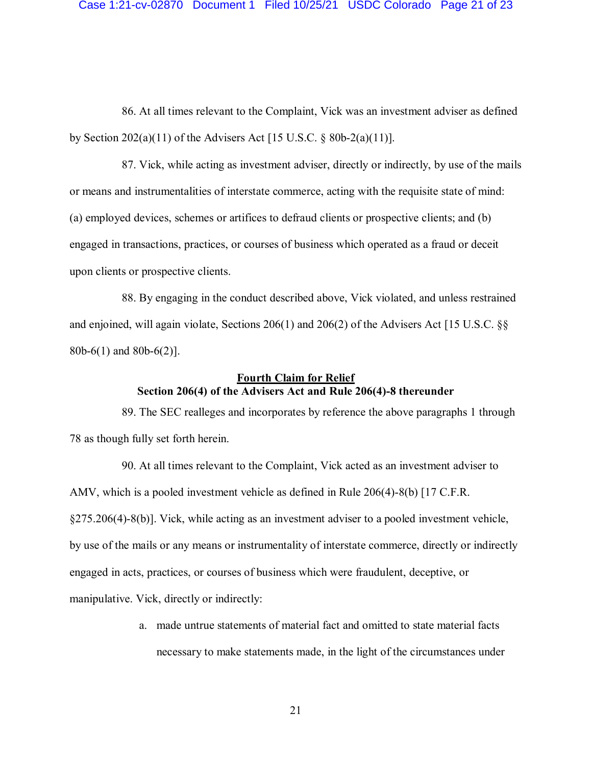#### Case 1:21-cv-02870 Document 1 Filed 10/25/21 USDC Colorado Page 21 of 23

86. At all times relevant to the Complaint, Vick was an investment adviser as defined by Section 202(a)(11) of the Advisers Act [15 U.S.C. § 80b-2(a)(11)].

87. Vick, while acting as investment adviser, directly or indirectly, by use of the mails or means and instrumentalities of interstate commerce, acting with the requisite state of mind: (a) employed devices, schemes or artifices to defraud clients or prospective clients; and (b) engaged in transactions, practices, or courses of business which operated as a fraud or deceit upon clients or prospective clients.

88. By engaging in the conduct described above, Vick violated, and unless restrained and enjoined, will again violate, Sections 206(1) and 206(2) of the Advisers Act [15 U.S.C. §§ 80b-6(1) and 80b-6(2)].

## **Fourth Claim for Relief Section 206(4) of the Advisers Act and Rule 206(4)-8 thereunder**

89. The SEC realleges and incorporates by reference the above paragraphs 1 through 78 as though fully set forth herein.

90. At all times relevant to the Complaint, Vick acted as an investment adviser to AMV, which is a pooled investment vehicle as defined in Rule 206(4)-8(b) [17 C.F.R. §275.206(4)-8(b)]. Vick, while acting as an investment adviser to a pooled investment vehicle, by use of the mails or any means or instrumentality of interstate commerce, directly or indirectly engaged in acts, practices, or courses of business which were fraudulent, deceptive, or manipulative. Vick, directly or indirectly:

> a. made untrue statements of material fact and omitted to state material facts necessary to make statements made, in the light of the circumstances under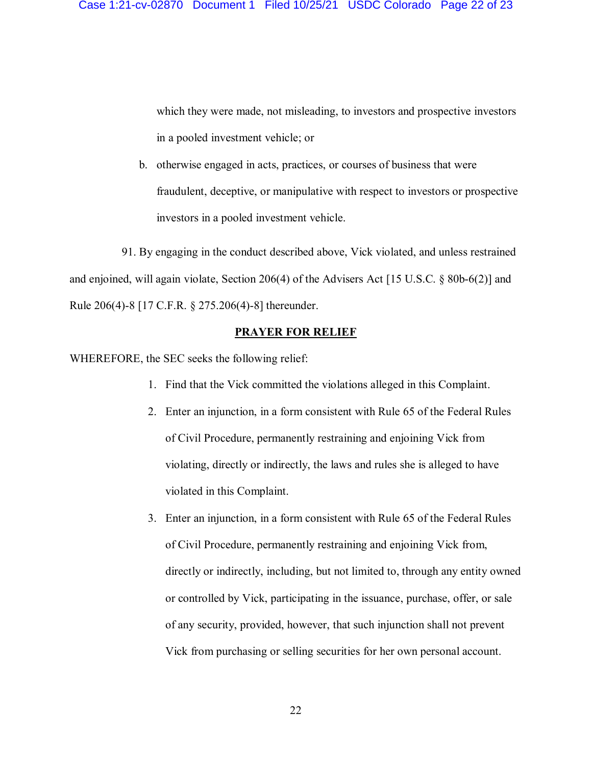which they were made, not misleading, to investors and prospective investors in a pooled investment vehicle; or

b. otherwise engaged in acts, practices, or courses of business that were fraudulent, deceptive, or manipulative with respect to investors or prospective investors in a pooled investment vehicle.

91. By engaging in the conduct described above, Vick violated, and unless restrained and enjoined, will again violate, Section 206(4) of the Advisers Act [15 U.S.C. § 80b-6(2)] and Rule 206(4)-8 [17 C.F.R. § 275.206(4)-8] thereunder.

### **PRAYER FOR RELIEF**

WHEREFORE, the SEC seeks the following relief:

- 1. Find that the Vick committed the violations alleged in this Complaint.
- 2. Enter an injunction, in a form consistent with Rule 65 of the Federal Rules of Civil Procedure, permanently restraining and enjoining Vick from violating, directly or indirectly, the laws and rules she is alleged to have violated in this Complaint.
- 3. Enter an injunction, in a form consistent with Rule 65 of the Federal Rules of Civil Procedure, permanently restraining and enjoining Vick from, directly or indirectly, including, but not limited to, through any entity owned or controlled by Vick, participating in the issuance, purchase, offer, or sale of any security, provided, however, that such injunction shall not prevent Vick from purchasing or selling securities for her own personal account.